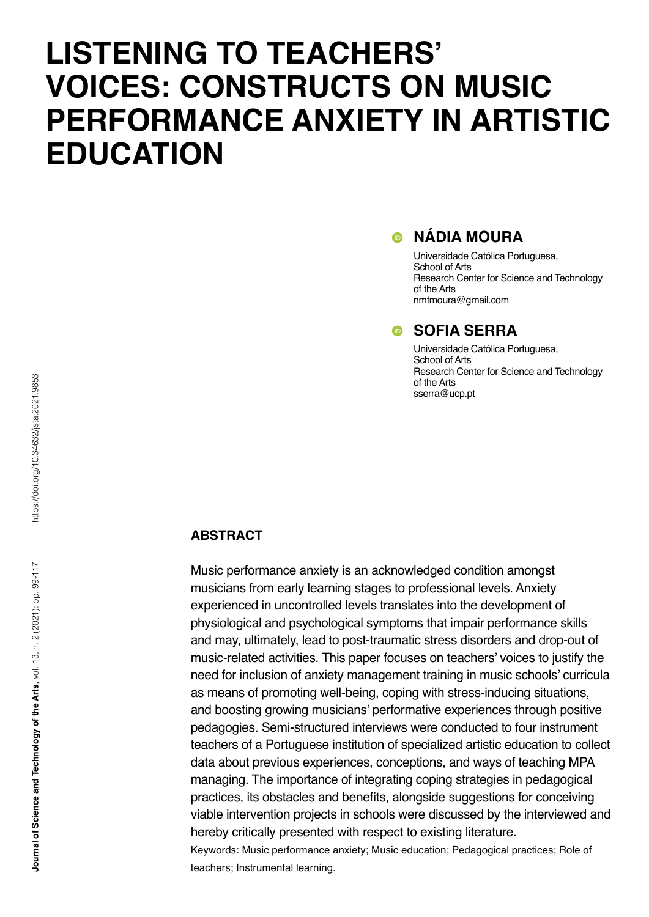# **LISTENING TO TEACHERS' VOICES: CONSTRUCTS ON MUSIC PERFORMANCE ANXIETY IN ARTISTIC EDUCATION**

# $\bullet$  NÁDIA MOURA

Universidade Católica Portuguesa, School of Arts Research Center for Science and Technology of the Arts nmtmoura@gmail.com

# **SOFIA SERRA**

Universidade Católica Portuguesa, School of Arts Research Center for Science and Technology of the Arts sserra@ucp.pt

### **ABSTRACT**

Music performance anxiety is an acknowledged condition amongst musicians from early learning stages to professional levels. Anxiety experienced in uncontrolled levels translates into the development of physiological and psychological symptoms that impair performance skills and may, ultimately, lead to post-traumatic stress disorders and drop-out of music-related activities. This paper focuses on teachers' voices to justify the need for inclusion of anxiety management training in music schools' curricula as means of promoting well-being, coping with stress-inducing situations, and boosting growing musicians' performative experiences through positive pedagogies. Semi-structured interviews were conducted to four instrument teachers of a Portuguese institution of specialized artistic education to collect data about previous experiences, conceptions, and ways of teaching MPA managing. The importance of integrating coping strategies in pedagogical practices, its obstacles and benefits, alongside suggestions for conceiving viable intervention projects in schools were discussed by the interviewed and hereby critically presented with respect to existing literature.

Keywords: Music performance anxiety; Music education; Pedagogical practices; Role of teachers; Instrumental learning.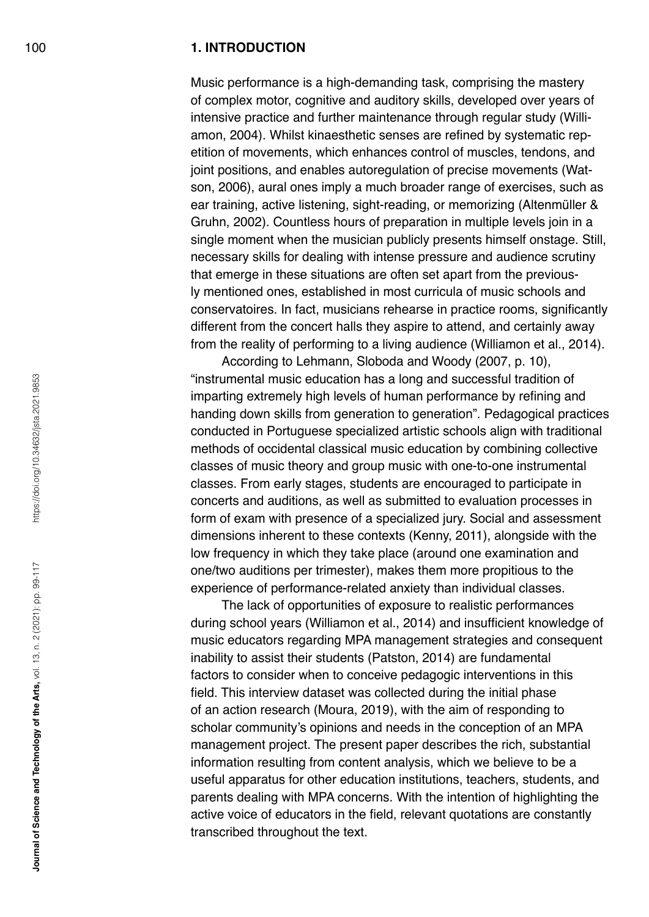#### 100 **1. INTRODUCTION**

Music performance is a high-demanding task, comprising the mastery of complex motor, cognitive and auditory skills, developed over years of intensive practice and further maintenance through regular study (Williamon, 2004). Whilst kinaesthetic senses are refined by systematic repetition of movements, which enhances control of muscles, tendons, and joint positions, and enables autoregulation of precise movements (Watson, 2006), aural ones imply a much broader range of exercises, such as ear training, active listening, sight-reading, or memorizing (Altenmüller & Gruhn, 2002). Countless hours of preparation in multiple levels join in a single moment when the musician publicly presents himself onstage. Still, necessary skills for dealing with intense pressure and audience scrutiny that emerge in these situations are often set apart from the previously mentioned ones, established in most curricula of music schools and conservatoires. In fact, musicians rehearse in practice rooms, significantly different from the concert halls they aspire to attend, and certainly away from the reality of performing to a living audience (Williamon et al., 2014).

According to Lehmann, Sloboda and Woody (2007, p. 10), "instrumental music education has a long and successful tradition of imparting extremely high levels of human performance by refining and handing down skills from generation to generation". Pedagogical practices conducted in Portuguese specialized artistic schools align with traditional methods of occidental classical music education by combining collective classes of music theory and group music with one-to-one instrumental classes. From early stages, students are encouraged to participate in concerts and auditions, as well as submitted to evaluation processes in form of exam with presence of a specialized jury. Social and assessment dimensions inherent to these contexts (Kenny, 2011), alongside with the low frequency in which they take place (around one examination and one/two auditions per trimester), makes them more propitious to the experience of performance-related anxiety than individual classes.

The lack of opportunities of exposure to realistic performances during school years (Williamon et al., 2014) and insufficient knowledge of music educators regarding MPA management strategies and consequent inability to assist their students (Patston, 2014) are fundamental factors to consider when to conceive pedagogic interventions in this field. This interview dataset was collected during the initial phase of an action research (Moura, 2019), with the aim of responding to scholar community's opinions and needs in the conception of an MPA management project. The present paper describes the rich, substantial information resulting from content analysis, which we believe to be a useful apparatus for other education institutions, teachers, students, and parents dealing with MPA concerns. With the intention of highlighting the active voice of educators in the field, relevant quotations are constantly transcribed throughout the text.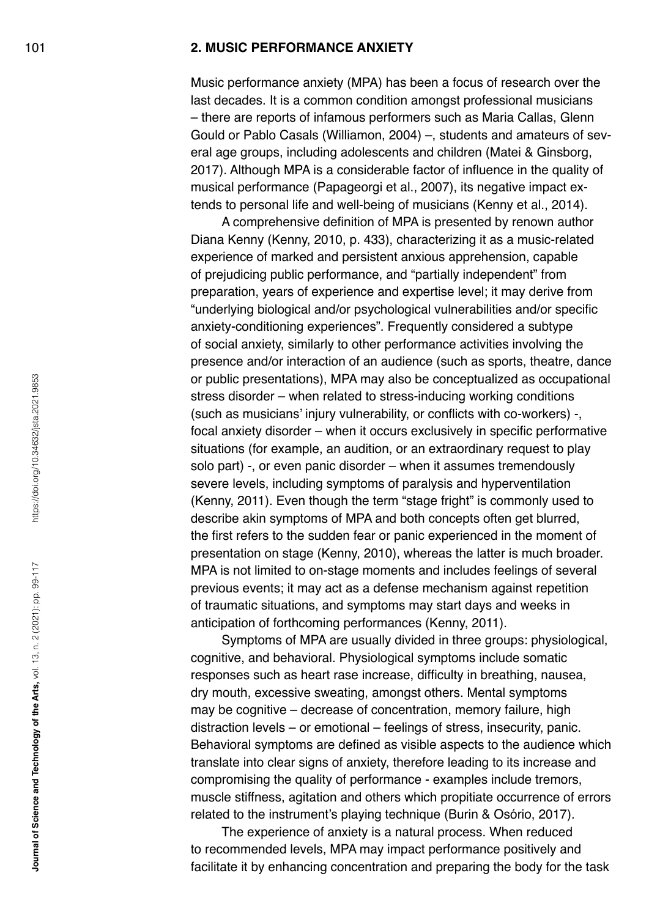#### 101 **2. MUSIC PERFORMANCE ANXIETY**

Music performance anxiety (MPA) has been a focus of research over the last decades. It is a common condition amongst professional musicians – there are reports of infamous performers such as Maria Callas, Glenn Gould or Pablo Casals (Williamon, 2004) –, students and amateurs of several age groups, including adolescents and children (Matei & Ginsborg, 2017). Although MPA is a considerable factor of influence in the quality of musical performance (Papageorgi et al., 2007), its negative impact extends to personal life and well-being of musicians (Kenny et al., 2014).

A comprehensive definition of MPA is presented by renown author Diana Kenny (Kenny, 2010, p. 433), characterizing it as a music-related experience of marked and persistent anxious apprehension, capable of prejudicing public performance, and "partially independent" from preparation, years of experience and expertise level; it may derive from "underlying biological and/or psychological vulnerabilities and/or specific anxiety-conditioning experiences". Frequently considered a subtype of social anxiety, similarly to other performance activities involving the presence and/or interaction of an audience (such as sports, theatre, dance or public presentations), MPA may also be conceptualized as occupational stress disorder – when related to stress-inducing working conditions (such as musicians' injury vulnerability, or conflicts with co-workers) -, focal anxiety disorder – when it occurs exclusively in specific performative situations (for example, an audition, or an extraordinary request to play solo part) -, or even panic disorder – when it assumes tremendously severe levels, including symptoms of paralysis and hyperventilation (Kenny, 2011). Even though the term "stage fright" is commonly used to describe akin symptoms of MPA and both concepts often get blurred, the first refers to the sudden fear or panic experienced in the moment of presentation on stage (Kenny, 2010), whereas the latter is much broader. MPA is not limited to on-stage moments and includes feelings of several previous events; it may act as a defense mechanism against repetition of traumatic situations, and symptoms may start days and weeks in anticipation of forthcoming performances (Kenny, 2011).

Symptoms of MPA are usually divided in three groups: physiological, cognitive, and behavioral. Physiological symptoms include somatic responses such as heart rase increase, difficulty in breathing, nausea, dry mouth, excessive sweating, amongst others. Mental symptoms may be cognitive – decrease of concentration, memory failure, high distraction levels – or emotional – feelings of stress, insecurity, panic. Behavioral symptoms are defined as visible aspects to the audience which translate into clear signs of anxiety, therefore leading to its increase and compromising the quality of performance - examples include tremors, muscle stiffness, agitation and others which propitiate occurrence of errors related to the instrument's playing technique (Burin & Osório, 2017).

The experience of anxiety is a natural process. When reduced to recommended levels, MPA may impact performance positively and facilitate it by enhancing concentration and preparing the body for the task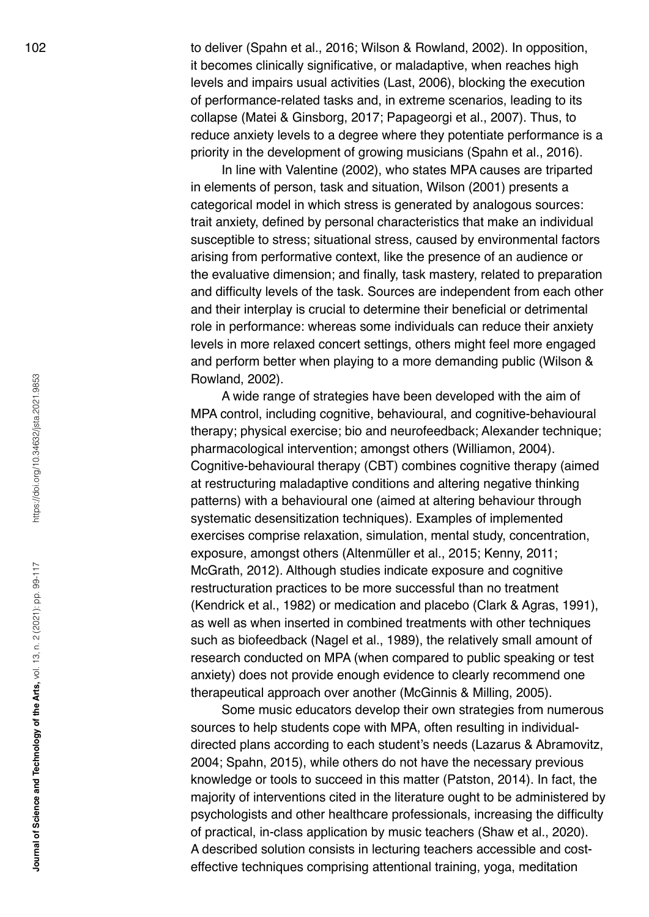102 to deliver (Spahn et al., 2016; Wilson & Rowland, 2002). In opposition, it becomes clinically significative, or maladaptive, when reaches high levels and impairs usual activities (Last, 2006), blocking the execution of performance-related tasks and, in extreme scenarios, leading to its collapse (Matei & Ginsborg, 2017; Papageorgi et al., 2007). Thus, to reduce anxiety levels to a degree where they potentiate performance is a priority in the development of growing musicians (Spahn et al., 2016).

> In line with Valentine (2002), who states MPA causes are triparted in elements of person, task and situation, Wilson (2001) presents a categorical model in which stress is generated by analogous sources: trait anxiety, defined by personal characteristics that make an individual susceptible to stress; situational stress, caused by environmental factors arising from performative context, like the presence of an audience or the evaluative dimension; and finally, task mastery, related to preparation and difficulty levels of the task. Sources are independent from each other and their interplay is crucial to determine their beneficial or detrimental role in performance: whereas some individuals can reduce their anxiety levels in more relaxed concert settings, others might feel more engaged and perform better when playing to a more demanding public (Wilson & Rowland, 2002).

> A wide range of strategies have been developed with the aim of MPA control, including cognitive, behavioural, and cognitive-behavioural therapy; physical exercise; bio and neurofeedback; Alexander technique; pharmacological intervention; amongst others (Williamon, 2004). Cognitive-behavioural therapy (CBT) combines cognitive therapy (aimed at restructuring maladaptive conditions and altering negative thinking patterns) with a behavioural one (aimed at altering behaviour through systematic desensitization techniques). Examples of implemented exercises comprise relaxation, simulation, mental study, concentration, exposure, amongst others (Altenmüller et al., 2015; Kenny, 2011; McGrath, 2012). Although studies indicate exposure and cognitive restructuration practices to be more successful than no treatment (Kendrick et al., 1982) or medication and placebo (Clark & Agras, 1991), as well as when inserted in combined treatments with other techniques such as biofeedback (Nagel et al., 1989), the relatively small amount of research conducted on MPA (when compared to public speaking or test anxiety) does not provide enough evidence to clearly recommend one therapeutical approach over another (McGinnis & Milling, 2005).

> Some music educators develop their own strategies from numerous sources to help students cope with MPA, often resulting in individualdirected plans according to each student's needs (Lazarus & Abramovitz, 2004; Spahn, 2015), while others do not have the necessary previous knowledge or tools to succeed in this matter (Patston, 2014). In fact, the majority of interventions cited in the literature ought to be administered by psychologists and other healthcare professionals, increasing the difficulty of practical, in-class application by music teachers (Shaw et al., 2020). A described solution consists in lecturing teachers accessible and costeffective techniques comprising attentional training, yoga, meditation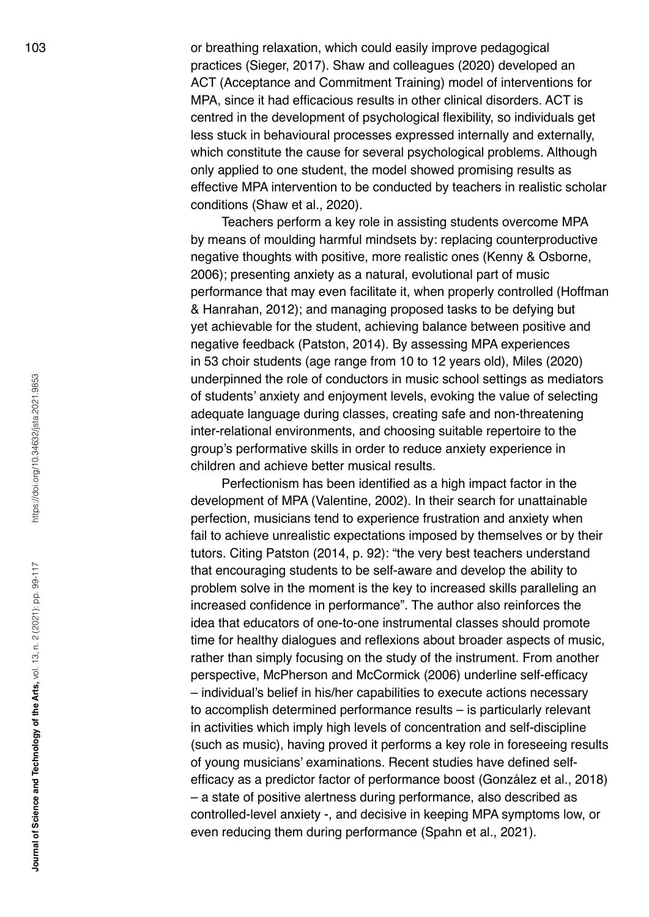103 or breathing relaxation, which could easily improve pedagogical practices (Sieger, 2017). Shaw and colleagues (2020) developed an ACT (Acceptance and Commitment Training) model of interventions for MPA, since it had efficacious results in other clinical disorders. ACT is centred in the development of psychological flexibility, so individuals get less stuck in behavioural processes expressed internally and externally, which constitute the cause for several psychological problems. Although only applied to one student, the model showed promising results as effective MPA intervention to be conducted by teachers in realistic scholar conditions (Shaw et al., 2020).

> Teachers perform a key role in assisting students overcome MPA by means of moulding harmful mindsets by: replacing counterproductive negative thoughts with positive, more realistic ones (Kenny & Osborne, 2006); presenting anxiety as a natural, evolutional part of music performance that may even facilitate it, when properly controlled (Hoffman & Hanrahan, 2012); and managing proposed tasks to be defying but yet achievable for the student, achieving balance between positive and negative feedback (Patston, 2014). By assessing MPA experiences in 53 choir students (age range from 10 to 12 years old), Miles (2020) underpinned the role of conductors in music school settings as mediators of students' anxiety and enjoyment levels, evoking the value of selecting adequate language during classes, creating safe and non-threatening inter-relational environments, and choosing suitable repertoire to the group's performative skills in order to reduce anxiety experience in children and achieve better musical results.

> Perfectionism has been identified as a high impact factor in the development of MPA (Valentine, 2002). In their search for unattainable perfection, musicians tend to experience frustration and anxiety when fail to achieve unrealistic expectations imposed by themselves or by their tutors. Citing Patston (2014, p. 92): "the very best teachers understand that encouraging students to be self-aware and develop the ability to problem solve in the moment is the key to increased skills paralleling an increased confidence in performance". The author also reinforces the idea that educators of one-to-one instrumental classes should promote time for healthy dialogues and reflexions about broader aspects of music, rather than simply focusing on the study of the instrument. From another perspective, McPherson and McCormick (2006) underline self-efficacy – individual's belief in his/her capabilities to execute actions necessary to accomplish determined performance results – is particularly relevant in activities which imply high levels of concentration and self-discipline (such as music), having proved it performs a key role in foreseeing results of young musicians' examinations. Recent studies have defined selfefficacy as a predictor factor of performance boost (González et al., 2018) – a state of positive alertness during performance, also described as controlled-level anxiety -, and decisive in keeping MPA symptoms low, or even reducing them during performance (Spahn et al., 2021).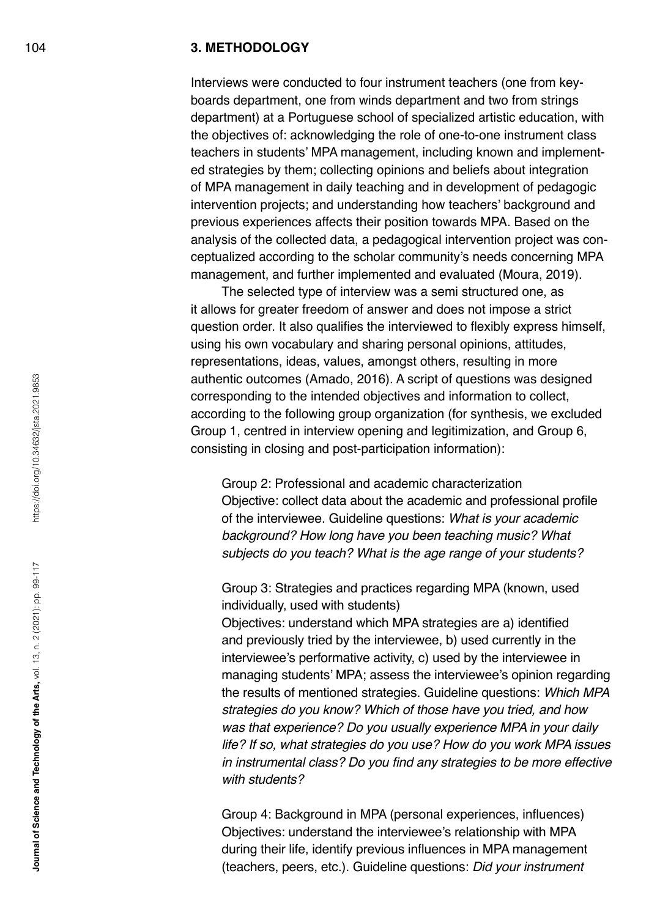#### 104 **3. METHODOLOGY**

Interviews were conducted to four instrument teachers (one from keyboards department, one from winds department and two from strings department) at a Portuguese school of specialized artistic education, with the objectives of: acknowledging the role of one-to-one instrument class teachers in students' MPA management, including known and implemented strategies by them; collecting opinions and beliefs about integration of MPA management in daily teaching and in development of pedagogic intervention projects; and understanding how teachers' background and previous experiences affects their position towards MPA. Based on the analysis of the collected data, a pedagogical intervention project was conceptualized according to the scholar community's needs concerning MPA management, and further implemented and evaluated (Moura, 2019).

The selected type of interview was a semi structured one, as it allows for greater freedom of answer and does not impose a strict question order. It also qualifies the interviewed to flexibly express himself, using his own vocabulary and sharing personal opinions, attitudes, representations, ideas, values, amongst others, resulting in more authentic outcomes (Amado, 2016). A script of questions was designed corresponding to the intended objectives and information to collect, according to the following group organization (for synthesis, we excluded Group 1, centred in interview opening and legitimization, and Group 6, consisting in closing and post-participation information):

Group 2: Professional and academic characterization Objective: collect data about the academic and professional profile of the interviewee. Guideline questions: *What is your academic background? How long have you been teaching music? What subjects do you teach? What is the age range of your students?*

Group 3: Strategies and practices regarding MPA (known, used individually, used with students)

Objectives: understand which MPA strategies are a) identified and previously tried by the interviewee, b) used currently in the interviewee's performative activity, c) used by the interviewee in managing students' MPA; assess the interviewee's opinion regarding the results of mentioned strategies. Guideline questions: *Which MPA strategies do you know? Which of those have you tried, and how was that experience? Do you usually experience MPA in your daily life? If so, what strategies do you use? How do you work MPA issues*  in instrumental class? Do you find any strategies to be more effective *with students?*

Group 4: Background in MPA (personal experiences, influences) Objectives: understand the interviewee's relationship with MPA during their life, identify previous influences in MPA management (teachers, peers, etc.). Guideline questions: *Did your instrument*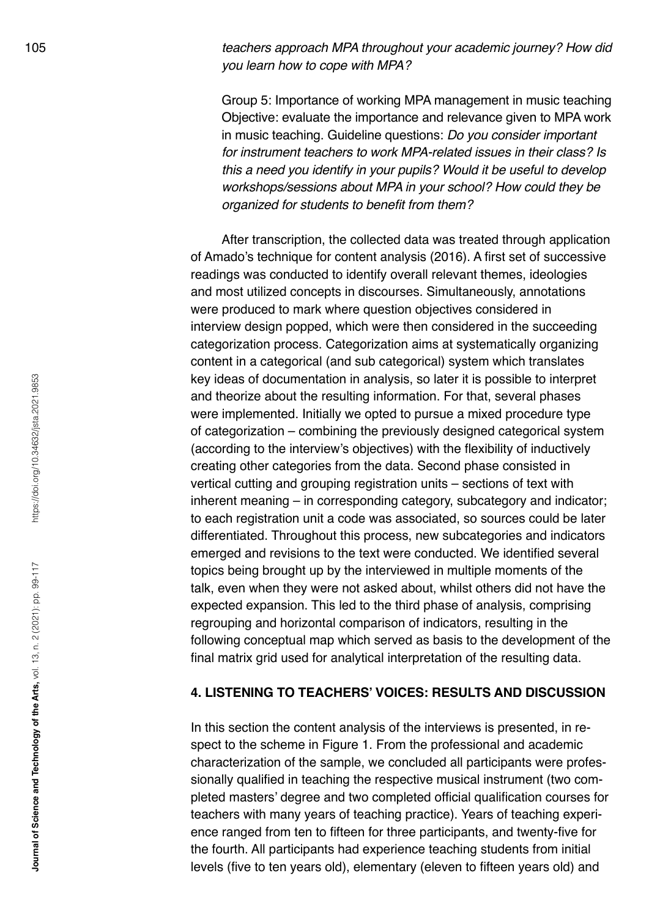105 *teachers approach MPA throughout your academic journey? How did you learn how to cope with MPA?*

> Group 5: Importance of working MPA management in music teaching Objective: evaluate the importance and relevance given to MPA work in music teaching. Guideline questions: *Do you consider important for instrument teachers to work MPA-related issues in their class? Is this a need you identify in your pupils? Would it be useful to develop workshops/sessions about MPA in your school? How could they be*  organized for students to benefit from them?

After transcription, the collected data was treated through application of Amado's technique for content analysis (2016). A first set of successive readings was conducted to identify overall relevant themes, ideologies and most utilized concepts in discourses. Simultaneously, annotations were produced to mark where question objectives considered in interview design popped, which were then considered in the succeeding categorization process. Categorization aims at systematically organizing content in a categorical (and sub categorical) system which translates key ideas of documentation in analysis, so later it is possible to interpret and theorize about the resulting information. For that, several phases were implemented. Initially we opted to pursue a mixed procedure type of categorization – combining the previously designed categorical system (according to the interview's objectives) with the flexibility of inductively creating other categories from the data. Second phase consisted in vertical cutting and grouping registration units – sections of text with inherent meaning – in corresponding category, subcategory and indicator; to each registration unit a code was associated, so sources could be later differentiated. Throughout this process, new subcategories and indicators emerged and revisions to the text were conducted. We identified several topics being brought up by the interviewed in multiple moments of the talk, even when they were not asked about, whilst others did not have the expected expansion. This led to the third phase of analysis, comprising regrouping and horizontal comparison of indicators, resulting in the following conceptual map which served as basis to the development of the final matrix grid used for analytical interpretation of the resulting data.

#### **4. LISTENING TO TEACHERS' VOICES: RESULTS AND DISCUSSION**

In this section the content analysis of the interviews is presented, in respect to the scheme in Figure 1. From the professional and academic characterization of the sample, we concluded all participants were professionally qualified in teaching the respective musical instrument (two completed masters' degree and two completed official qualification courses for teachers with many years of teaching practice). Years of teaching experience ranged from ten to fifteen for three participants, and twenty-five for the fourth. All participants had experience teaching students from initial levels (five to ten years old), elementary (eleven to fifteen years old) and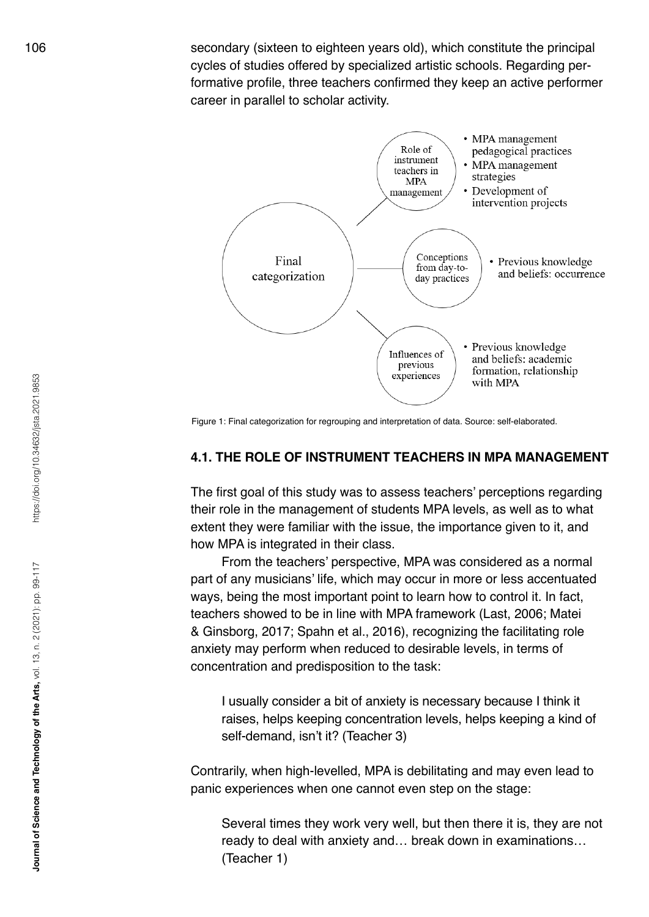106 secondary (sixteen to eighteen years old), which constitute the principal cycles of studies offered by specialized artistic schools. Regarding performative profile, three teachers confirmed they keep an active performer career in parallel to scholar activity.



Figure 1: Final categorization for regrouping and interpretation of data. Source: self-elaborated.

#### **4.1. THE ROLE OF INSTRUMENT TEACHERS IN MPA MANAGEMENT**

The first goal of this study was to assess teachers' perceptions regarding their role in the management of students MPA levels, as well as to what extent they were familiar with the issue, the importance given to it, and how MPA is integrated in their class.

From the teachers' perspective, MPA was considered as a normal part of any musicians' life, which may occur in more or less accentuated ways, being the most important point to learn how to control it. In fact, teachers showed to be in line with MPA framework (Last, 2006; Matei & Ginsborg, 2017; Spahn et al., 2016), recognizing the facilitating role anxiety may perform when reduced to desirable levels, in terms of concentration and predisposition to the task:

I usually consider a bit of anxiety is necessary because I think it raises, helps keeping concentration levels, helps keeping a kind of self-demand, isn't it? (Teacher 3)

Contrarily, when high-levelled, MPA is debilitating and may even lead to panic experiences when one cannot even step on the stage:

Several times they work very well, but then there it is, they are not ready to deal with anxiety and… break down in examinations… (Teacher 1)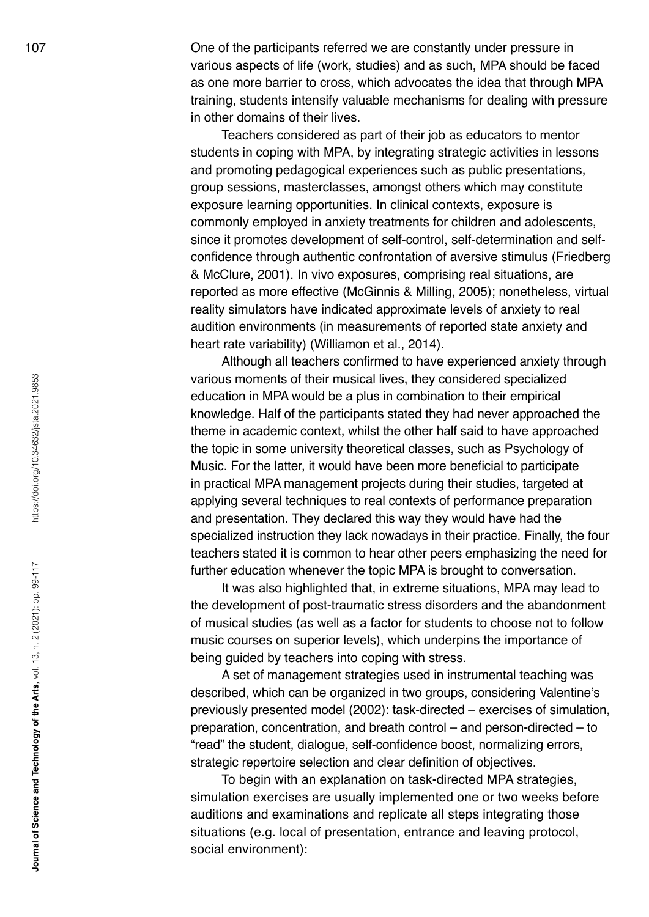107 One of the participants referred we are constantly under pressure in various aspects of life (work, studies) and as such, MPA should be faced as one more barrier to cross, which advocates the idea that through MPA training, students intensify valuable mechanisms for dealing with pressure in other domains of their lives.

> Teachers considered as part of their job as educators to mentor students in coping with MPA, by integrating strategic activities in lessons and promoting pedagogical experiences such as public presentations, group sessions, masterclasses, amongst others which may constitute exposure learning opportunities. In clinical contexts, exposure is commonly employed in anxiety treatments for children and adolescents, since it promotes development of self-control, self-determination and selfconfidence through authentic confrontation of aversive stimulus (Friedberg & McClure, 2001). In vivo exposures, comprising real situations, are reported as more effective (McGinnis & Milling, 2005); nonetheless, virtual reality simulators have indicated approximate levels of anxiety to real audition environments (in measurements of reported state anxiety and heart rate variability) (Williamon et al., 2014).

> Although all teachers confirmed to have experienced anxiety through various moments of their musical lives, they considered specialized education in MPA would be a plus in combination to their empirical knowledge. Half of the participants stated they had never approached the theme in academic context, whilst the other half said to have approached the topic in some university theoretical classes, such as Psychology of Music. For the latter, it would have been more beneficial to participate in practical MPA management projects during their studies, targeted at applying several techniques to real contexts of performance preparation and presentation. They declared this way they would have had the specialized instruction they lack nowadays in their practice. Finally, the four teachers stated it is common to hear other peers emphasizing the need for further education whenever the topic MPA is brought to conversation.

> It was also highlighted that, in extreme situations, MPA may lead to the development of post-traumatic stress disorders and the abandonment of musical studies (as well as a factor for students to choose not to follow music courses on superior levels), which underpins the importance of being guided by teachers into coping with stress.

> A set of management strategies used in instrumental teaching was described, which can be organized in two groups, considering Valentine's previously presented model (2002): task-directed – exercises of simulation, preparation, concentration, and breath control – and person-directed – to "read" the student, dialogue, self-confidence boost, normalizing errors, strategic repertoire selection and clear definition of objectives.

To begin with an explanation on task-directed MPA strategies, simulation exercises are usually implemented one or two weeks before auditions and examinations and replicate all steps integrating those situations (e.g. local of presentation, entrance and leaving protocol, social environment):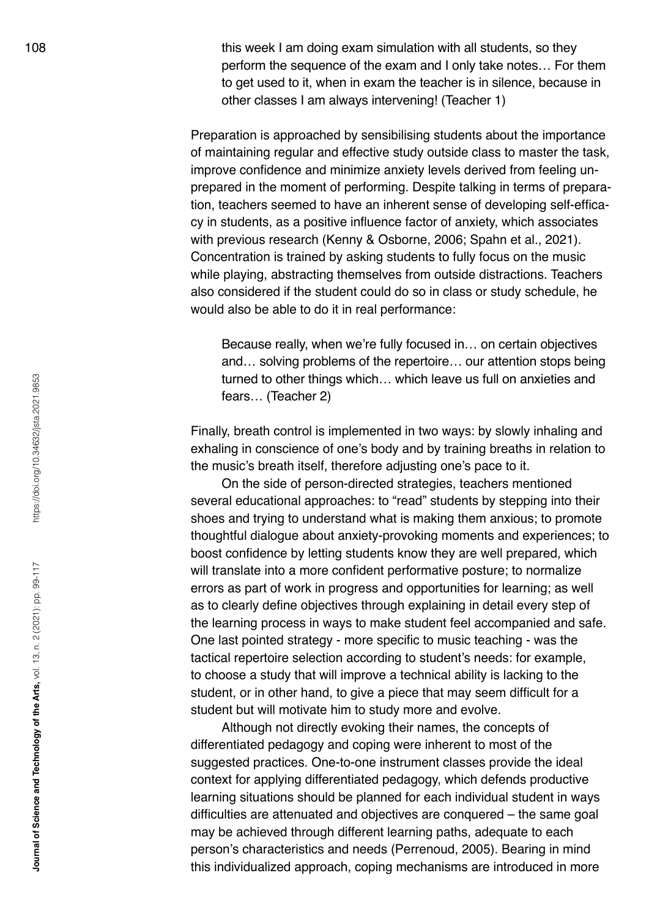108 **this week I am doing exam simulation with all students, so they** perform the sequence of the exam and I only take notes… For them to get used to it, when in exam the teacher is in silence, because in other classes I am always intervening! (Teacher 1)

> Preparation is approached by sensibilising students about the importance of maintaining regular and effective study outside class to master the task, improve confidence and minimize anxiety levels derived from feeling unprepared in the moment of performing. Despite talking in terms of preparation, teachers seemed to have an inherent sense of developing self-efficacy in students, as a positive influence factor of anxiety, which associates with previous research (Kenny & Osborne, 2006; Spahn et al., 2021). Concentration is trained by asking students to fully focus on the music while playing, abstracting themselves from outside distractions. Teachers also considered if the student could do so in class or study schedule, he would also be able to do it in real performance:

Because really, when we're fully focused in… on certain objectives and… solving problems of the repertoire… our attention stops being turned to other things which… which leave us full on anxieties and fears… (Teacher 2)

Finally, breath control is implemented in two ways: by slowly inhaling and exhaling in conscience of one's body and by training breaths in relation to the music's breath itself, therefore adjusting one's pace to it.

On the side of person-directed strategies, teachers mentioned several educational approaches: to "read" students by stepping into their shoes and trying to understand what is making them anxious; to promote thoughtful dialogue about anxiety-provoking moments and experiences; to boost confidence by letting students know they are well prepared, which will translate into a more confident performative posture; to normalize errors as part of work in progress and opportunities for learning; as well as to clearly define objectives through explaining in detail every step of the learning process in ways to make student feel accompanied and safe. One last pointed strategy - more specific to music teaching - was the tactical repertoire selection according to student's needs: for example, to choose a study that will improve a technical ability is lacking to the student, or in other hand, to give a piece that may seem difficult for a student but will motivate him to study more and evolve.

Although not directly evoking their names, the concepts of differentiated pedagogy and coping were inherent to most of the suggested practices. One-to-one instrument classes provide the ideal context for applying differentiated pedagogy, which defends productive learning situations should be planned for each individual student in ways difficulties are attenuated and objectives are conquered – the same goal may be achieved through different learning paths, adequate to each person's characteristics and needs (Perrenoud, 2005). Bearing in mind this individualized approach, coping mechanisms are introduced in more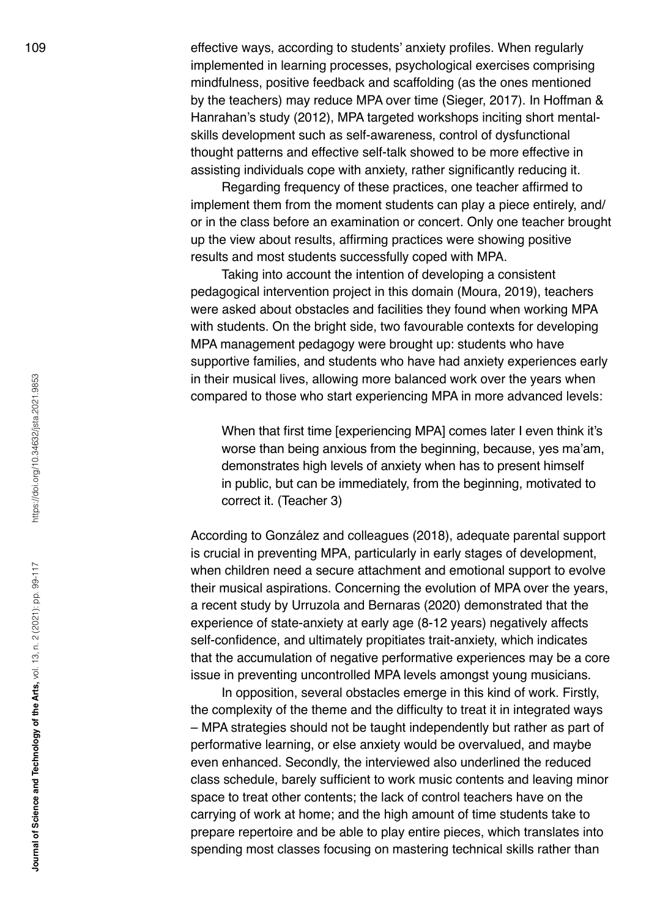109 effective ways, according to students' anxiety profiles. When regularly implemented in learning processes, psychological exercises comprising mindfulness, positive feedback and scaffolding (as the ones mentioned by the teachers) may reduce MPA over time (Sieger, 2017). In Hoffman & Hanrahan's study (2012), MPA targeted workshops inciting short mentalskills development such as self-awareness, control of dysfunctional thought patterns and effective self-talk showed to be more effective in assisting individuals cope with anxiety, rather significantly reducing it.

> Regarding frequency of these practices, one teacher affirmed to implement them from the moment students can play a piece entirely, and/ or in the class before an examination or concert. Only one teacher brought up the view about results, affirming practices were showing positive results and most students successfully coped with MPA.

> Taking into account the intention of developing a consistent pedagogical intervention project in this domain (Moura, 2019), teachers were asked about obstacles and facilities they found when working MPA with students. On the bright side, two favourable contexts for developing MPA management pedagogy were brought up: students who have supportive families, and students who have had anxiety experiences early in their musical lives, allowing more balanced work over the years when compared to those who start experiencing MPA in more advanced levels:

When that first time [experiencing MPA] comes later I even think it's worse than being anxious from the beginning, because, yes ma'am, demonstrates high levels of anxiety when has to present himself in public, but can be immediately, from the beginning, motivated to correct it. (Teacher 3)

According to González and colleagues (2018), adequate parental support is crucial in preventing MPA, particularly in early stages of development, when children need a secure attachment and emotional support to evolve their musical aspirations. Concerning the evolution of MPA over the years, a recent study by Urruzola and Bernaras (2020) demonstrated that the experience of state-anxiety at early age (8-12 years) negatively affects self-confidence, and ultimately propitiates trait-anxiety, which indicates that the accumulation of negative performative experiences may be a core issue in preventing uncontrolled MPA levels amongst young musicians.

In opposition, several obstacles emerge in this kind of work. Firstly, the complexity of the theme and the difficulty to treat it in integrated ways – MPA strategies should not be taught independently but rather as part of performative learning, or else anxiety would be overvalued, and maybe even enhanced. Secondly, the interviewed also underlined the reduced class schedule, barely sufficient to work music contents and leaving minor space to treat other contents; the lack of control teachers have on the carrying of work at home; and the high amount of time students take to prepare repertoire and be able to play entire pieces, which translates into spending most classes focusing on mastering technical skills rather than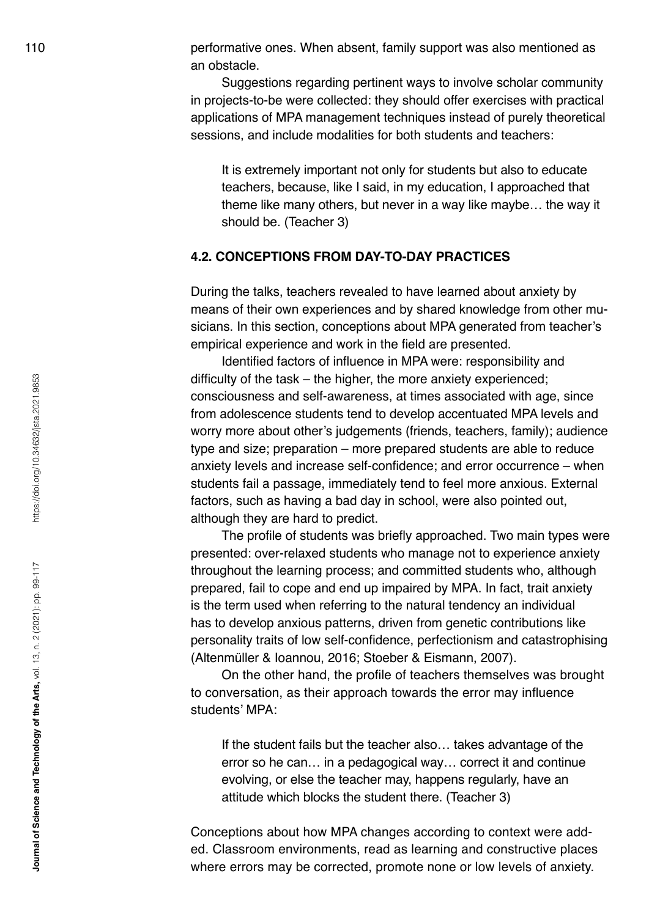110 performative ones. When absent, family support was also mentioned as an obstacle.

> Suggestions regarding pertinent ways to involve scholar community in projects-to-be were collected: they should offer exercises with practical applications of MPA management techniques instead of purely theoretical sessions, and include modalities for both students and teachers:

It is extremely important not only for students but also to educate teachers, because, like I said, in my education, I approached that theme like many others, but never in a way like maybe… the way it should be. (Teacher 3)

# **4.2. CONCEPTIONS FROM DAY-TO-DAY PRACTICES**

During the talks, teachers revealed to have learned about anxiety by means of their own experiences and by shared knowledge from other musicians. In this section, conceptions about MPA generated from teacher's empirical experience and work in the field are presented.

Identified factors of influence in MPA were: responsibility and difficulty of the task – the higher, the more anxiety experienced; consciousness and self-awareness, at times associated with age, since from adolescence students tend to develop accentuated MPA levels and worry more about other's judgements (friends, teachers, family); audience type and size; preparation – more prepared students are able to reduce anxiety levels and increase self-confidence; and error occurrence – when students fail a passage, immediately tend to feel more anxious. External factors, such as having a bad day in school, were also pointed out, although they are hard to predict.

The profile of students was briefly approached. Two main types were presented: over-relaxed students who manage not to experience anxiety throughout the learning process; and committed students who, although prepared, fail to cope and end up impaired by MPA. In fact, trait anxiety is the term used when referring to the natural tendency an individual has to develop anxious patterns, driven from genetic contributions like personality traits of low self-confidence, perfectionism and catastrophising (Altenmüller & Ioannou, 2016; Stoeber & Eismann, 2007).

On the other hand, the profile of teachers themselves was brought to conversation, as their approach towards the error may influence students' MPA:

If the student fails but the teacher also… takes advantage of the error so he can… in a pedagogical way… correct it and continue evolving, or else the teacher may, happens regularly, have an attitude which blocks the student there. (Teacher 3)

Conceptions about how MPA changes according to context were added. Classroom environments, read as learning and constructive places where errors may be corrected, promote none or low levels of anxiety.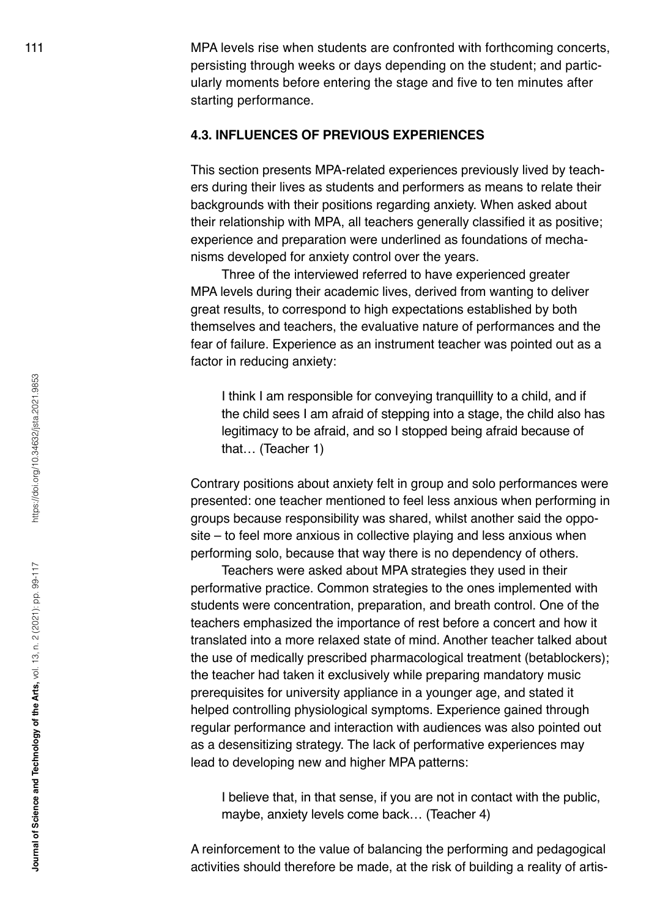111 MPA levels rise when students are confronted with forthcoming concerts, persisting through weeks or days depending on the student; and particularly moments before entering the stage and five to ten minutes after starting performance.

### **4.3. INFLUENCES OF PREVIOUS EXPERIENCES**

This section presents MPA-related experiences previously lived by teachers during their lives as students and performers as means to relate their backgrounds with their positions regarding anxiety. When asked about their relationship with MPA, all teachers generally classified it as positive; experience and preparation were underlined as foundations of mechanisms developed for anxiety control over the years.

Three of the interviewed referred to have experienced greater MPA levels during their academic lives, derived from wanting to deliver great results, to correspond to high expectations established by both themselves and teachers, the evaluative nature of performances and the fear of failure. Experience as an instrument teacher was pointed out as a factor in reducing anxiety:

I think I am responsible for conveying tranquillity to a child, and if the child sees I am afraid of stepping into a stage, the child also has legitimacy to be afraid, and so I stopped being afraid because of that… (Teacher 1)

Contrary positions about anxiety felt in group and solo performances were presented: one teacher mentioned to feel less anxious when performing in groups because responsibility was shared, whilst another said the opposite – to feel more anxious in collective playing and less anxious when performing solo, because that way there is no dependency of others.

Teachers were asked about MPA strategies they used in their performative practice. Common strategies to the ones implemented with students were concentration, preparation, and breath control. One of the teachers emphasized the importance of rest before a concert and how it translated into a more relaxed state of mind. Another teacher talked about the use of medically prescribed pharmacological treatment (betablockers); the teacher had taken it exclusively while preparing mandatory music prerequisites for university appliance in a younger age, and stated it helped controlling physiological symptoms. Experience gained through regular performance and interaction with audiences was also pointed out as a desensitizing strategy. The lack of performative experiences may lead to developing new and higher MPA patterns:

I believe that, in that sense, if you are not in contact with the public, maybe, anxiety levels come back… (Teacher 4)

A reinforcement to the value of balancing the performing and pedagogical activities should therefore be made, at the risk of building a reality of artis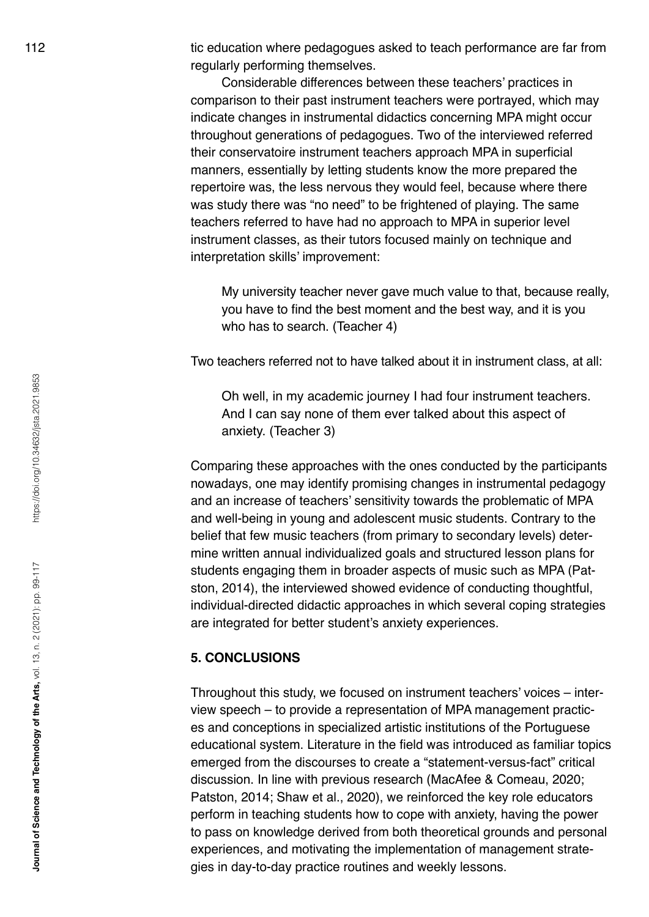112 tic education where pedagogues asked to teach performance are far from regularly performing themselves.

> Considerable differences between these teachers' practices in comparison to their past instrument teachers were portrayed, which may indicate changes in instrumental didactics concerning MPA might occur throughout generations of pedagogues. Two of the interviewed referred their conservatoire instrument teachers approach MPA in superficial manners, essentially by letting students know the more prepared the repertoire was, the less nervous they would feel, because where there was study there was "no need" to be frightened of playing. The same teachers referred to have had no approach to MPA in superior level instrument classes, as their tutors focused mainly on technique and interpretation skills' improvement:

My university teacher never gave much value to that, because really, you have to find the best moment and the best way, and it is you who has to search. (Teacher 4)

Two teachers referred not to have talked about it in instrument class, at all:

Oh well, in my academic journey I had four instrument teachers. And I can say none of them ever talked about this aspect of anxiety. (Teacher 3)

Comparing these approaches with the ones conducted by the participants nowadays, one may identify promising changes in instrumental pedagogy and an increase of teachers' sensitivity towards the problematic of MPA and well-being in young and adolescent music students. Contrary to the belief that few music teachers (from primary to secondary levels) determine written annual individualized goals and structured lesson plans for students engaging them in broader aspects of music such as MPA (Patston, 2014), the interviewed showed evidence of conducting thoughtful, individual-directed didactic approaches in which several coping strategies are integrated for better student's anxiety experiences.

#### **5. CONCLUSIONS**

Throughout this study, we focused on instrument teachers' voices – interview speech – to provide a representation of MPA management practices and conceptions in specialized artistic institutions of the Portuguese educational system. Literature in the field was introduced as familiar topics emerged from the discourses to create a "statement-versus-fact" critical discussion. In line with previous research (MacAfee & Comeau, 2020; Patston, 2014; Shaw et al., 2020), we reinforced the key role educators perform in teaching students how to cope with anxiety, having the power to pass on knowledge derived from both theoretical grounds and personal experiences, and motivating the implementation of management strategies in day-to-day practice routines and weekly lessons.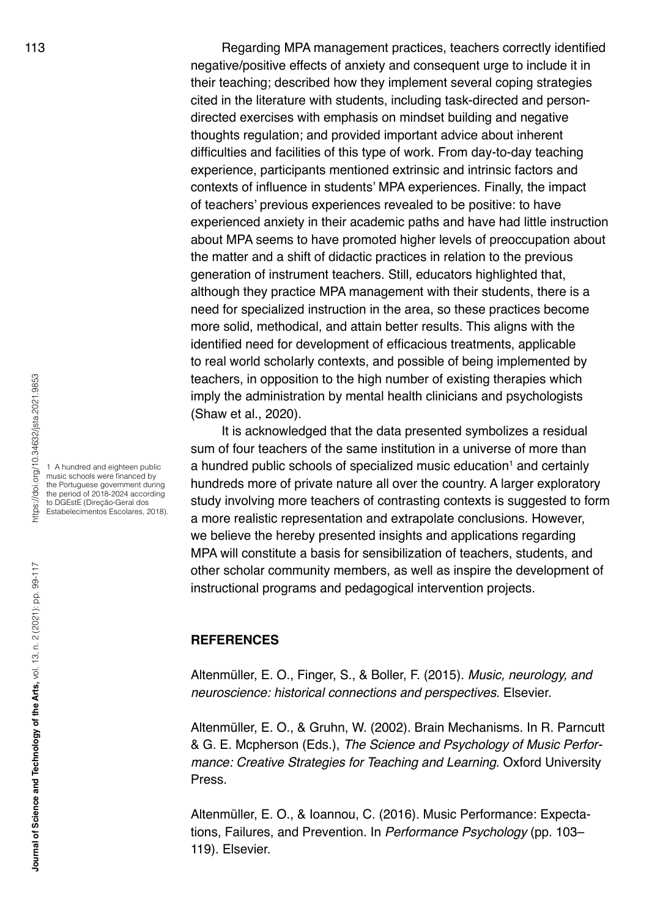113 Regarding MPA management practices, teachers correctly identified negative/positive effects of anxiety and consequent urge to include it in their teaching; described how they implement several coping strategies cited in the literature with students, including task-directed and persondirected exercises with emphasis on mindset building and negative thoughts regulation; and provided important advice about inherent difficulties and facilities of this type of work. From day-to-day teaching experience, participants mentioned extrinsic and intrinsic factors and contexts of influence in students' MPA experiences. Finally, the impact of teachers' previous experiences revealed to be positive: to have experienced anxiety in their academic paths and have had little instruction about MPA seems to have promoted higher levels of preoccupation about the matter and a shift of didactic practices in relation to the previous generation of instrument teachers. Still, educators highlighted that, although they practice MPA management with their students, there is a need for specialized instruction in the area, so these practices become more solid, methodical, and attain better results. This aligns with the identified need for development of efficacious treatments, applicable to real world scholarly contexts, and possible of being implemented by teachers, in opposition to the high number of existing therapies which imply the administration by mental health clinicians and psychologists (Shaw et al., 2020).

> It is acknowledged that the data presented symbolizes a residual sum of four teachers of the same institution in a universe of more than a hundred public schools of specialized music education<sup>1</sup> and certainly hundreds more of private nature all over the country. A larger exploratory study involving more teachers of contrasting contexts is suggested to form a more realistic representation and extrapolate conclusions. However, we believe the hereby presented insights and applications regarding MPA will constitute a basis for sensibilization of teachers, students, and other scholar community members, as well as inspire the development of instructional programs and pedagogical intervention projects.

#### **REFERENCES**

Altenmüller, E. O., Finger, S., & Boller, F. (2015). *Music, neurology, and neuroscience: historical connections and perspectives*. Elsevier.

Altenmüller, E. O., & Gruhn, W. (2002). Brain Mechanisms. In R. Parncutt & G. E. Mcpherson (Eds.), *The Science and Psychology of Music Performance: Creative Strategies for Teaching and Learning*. Oxford University Press.

Altenmüller, E. O., & Ioannou, C. (2016). Music Performance: Expectations, Failures, and Prevention. In *Performance Psychology* (pp. 103– 119). Elsevier.

1 A hundred and eighteen public music schools were financed by the Portuguese government during the period of 2018-2024 according to DGEstE (Direção-Geral dos Estabelecimentos Escolares, 2018).

nttps://doi.org/10.34632/jsta.2021.9853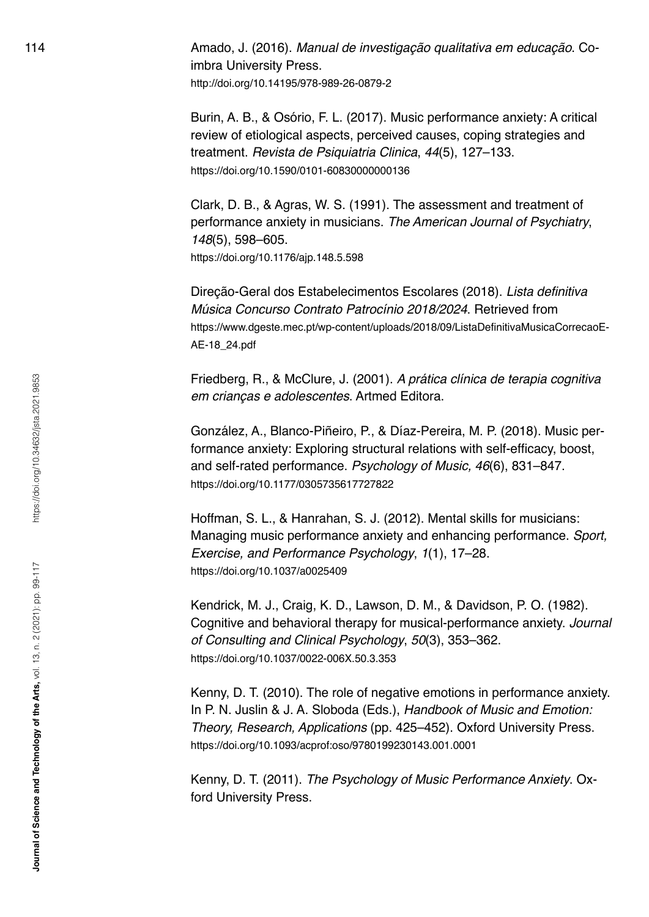114 Amado, J. (2016). *Manual de investigação qualitativa em educação*. Coimbra University Press.

<http://doi.org/10.14195/978-989-26-0879-2>

Burin, A. B., & Osório, F. L. (2017). Music performance anxiety: A critical review of etiological aspects, perceived causes, coping strategies and treatment. *Revista de Psiquiatria Clinica*, *44*(5), 127–133. <https://doi.org/10.1590/0101-60830000000136>

Clark, D. B., & Agras, W. S. (1991). The assessment and treatment of performance anxiety in musicians. *The American Journal of Psychiatry*, *148*(5), 598–605.

<https://doi.org/10.1176/ajp.148.5.598>

Direção-Geral dos Estabelecimentos Escolares (2018). Lista definitiva *Música Concurso Contrato Patrocínio 2018/2024*. Retrieved from [https://www.dgeste.mec.pt/wp-content/uploads/2018/09/ListaDefinitivaMusicaCorrecaoE](https://www.dgeste.mec.pt/wp-content/uploads/2018/09/ListaDefinitivaMusicaCorrecaoEAE-18_24.pdf)-[AE-18\\_24.pdf](https://www.dgeste.mec.pt/wp-content/uploads/2018/09/ListaDefinitivaMusicaCorrecaoEAE-18_24.pdf)

Friedberg, R., & McClure, J. (2001). *A prática clínica de terapia cognitiva em crianças e adolescentes*. Artmed Editora.

González, A., Blanco-Piñeiro, P., & Díaz-Pereira, M. P. (2018). Music performance anxiety: Exploring structural relations with self-efficacy, boost, and self-rated performance. *Psychology of Music, 46*(6), 831–847. <https://doi.org/10.1177/0305735617727822>

Hoffman, S. L., & Hanrahan, S. J. (2012). Mental skills for musicians: Managing music performance anxiety and enhancing performance. *Sport, Exercise, and Performance Psychology*, *1*(1), 17–28. <https://doi.org/10.1037/a0025409>

Kendrick, M. J., Craig, K. D., Lawson, D. M., & Davidson, P. O. (1982). Cognitive and behavioral therapy for musical-performance anxiety. *Journal of Consulting and Clinical Psychology*, *50*(3), 353–362. <https://doi.org/10.1037/0022-006X.50.3.353>

Kenny, D. T. (2010). The role of negative emotions in performance anxiety. In P. N. Juslin & J. A. Sloboda (Eds.), *Handbook of Music and Emotion: Theory, Research, Applications* (pp. 425–452). Oxford University Press. <https://doi.org/10.1093/acprof:oso/9780199230143.001.0001>

Kenny, D. T. (2011). *The Psychology of Music Performance Anxiety*. Oxford University Press.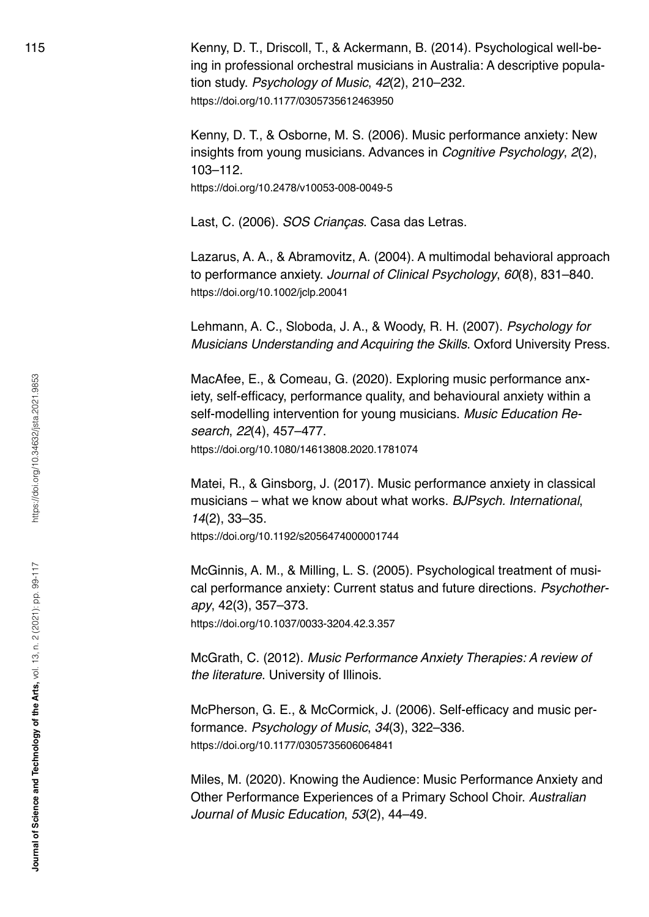115 Kenny, D. T., Driscoll, T., & Ackermann, B. (2014). Psychological well-being in professional orchestral musicians in Australia: A descriptive population study. *Psychology of Music*, *42*(2), 210–232. <https://doi.org/10.1177/0305735612463950>

> Kenny, D. T., & Osborne, M. S. (2006). Music performance anxiety: New insights from young musicians. Advances in *Cognitive Psychology*, *2*(2), 103–112.

<https://doi.org/10.2478/v10053-008-0049-5>

Last, C. (2006). *SOS Crianças*. Casa das Letras.

Lazarus, A. A., & Abramovitz, A. (2004). A multimodal behavioral approach to performance anxiety. *Journal of Clinical Psychology*, *60*(8), 831–840. <https://doi.org/10.1002/jclp.20041>

Lehmann, A. C., Sloboda, J. A., & Woody, R. H. (2007). *Psychology for Musicians Understanding and Acquiring the Skills*. Oxford University Press.

MacAfee, E., & Comeau, G. (2020). Exploring music performance anxiety, self-efficacy, performance quality, and behavioural anxiety within a self-modelling intervention for young musicians. *Music Education Research*, *22*(4), 457–477. <https://doi.org/10.1080/14613808.2020.1781074>

Matei, R., & Ginsborg, J. (2017). Music performance anxiety in classical musicians – what we know about what works. *BJPsych. International*, *14*(2), 33–35. <https://doi.org/10.1192/s2056474000001744>

McGinnis, A. M., & Milling, L. S. (2005). Psychological treatment of musical performance anxiety: Current status and future directions. *Psychotherapy*, 42(3), 357–373. <https://doi.org/10.1037/0033-3204.42.3.357>

McGrath, C. (2012). *Music Performance Anxiety Therapies: A review of the literature*. University of Illinois.

McPherson, G. E., & McCormick, J. (2006). Self-efficacy and music performance. *Psychology of Music*, *34*(3), 322–336. <https://doi.org/10.1177/0305735606064841>

Miles, M. (2020). Knowing the Audience: Music Performance Anxiety and Other Performance Experiences of a Primary School Choir. *Australian Journal of Music Education*, *53*(2), 44–49.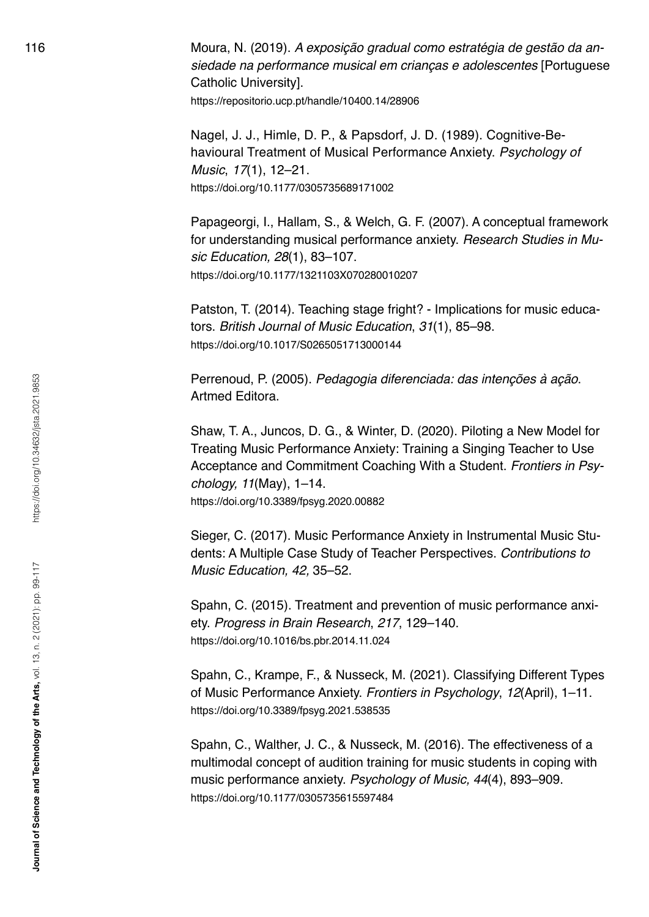116 Moura, N. (2019). *A exposição gradual como estratégia de gestão da ansiedade na performance musical em crianças e adolescentes* [Portuguese Catholic University]. <https://repositorio.ucp.pt/handle/10400.14/28906>

> Nagel, J. J., Himle, D. P., & Papsdorf, J. D. (1989). Cognitive-Behavioural Treatment of Musical Performance Anxiety. *Psychology of Music*, *17*(1), 12–21. <https://doi.org/10.1177/0305735689171002>

Papageorgi, I., Hallam, S., & Welch, G. F. (2007). A conceptual framework for understanding musical performance anxiety. *Research Studies in Music Education, 28*(1), 83–107. <https://doi.org/10.1177/1321103X070280010207>

Patston, T. (2014). Teaching stage fright? - Implications for music educators. *British Journal of Music Education*, *31*(1), 85–98. <https://doi.org/10.1017/S0265051713000144>

Perrenoud, P. (2005). *Pedagogia diferenciada: das intenções à ação*. Artmed Editora.

Shaw, T. A., Juncos, D. G., & Winter, D. (2020). Piloting a New Model for Treating Music Performance Anxiety: Training a Singing Teacher to Use Acceptance and Commitment Coaching With a Student. *Frontiers in Psychology, 11*(May), 1–14. <https://doi.org/10.3389/fpsyg.2020.00882>

Sieger, C. (2017). Music Performance Anxiety in Instrumental Music Students: A Multiple Case Study of Teacher Perspectives. *Contributions to Music Education, 42,* 35–52.

Spahn, C. (2015). Treatment and prevention of music performance anxiety. *Progress in Brain Research*, *217*, 129–140. <https://doi.org/10.1016/bs.pbr.2014.11.024>

Spahn, C., Krampe, F., & Nusseck, M. (2021). Classifying Different Types of Music Performance Anxiety. *Frontiers in Psychology*, *12*(April), 1–11. <https://doi.org/10.3389/fpsyg.2021.538535>

Spahn, C., Walther, J. C., & Nusseck, M. (2016). The effectiveness of a multimodal concept of audition training for music students in coping with music performance anxiety. *Psychology of Music, 44*(4), 893–909. <https://doi.org/10.1177/0305735615597484>